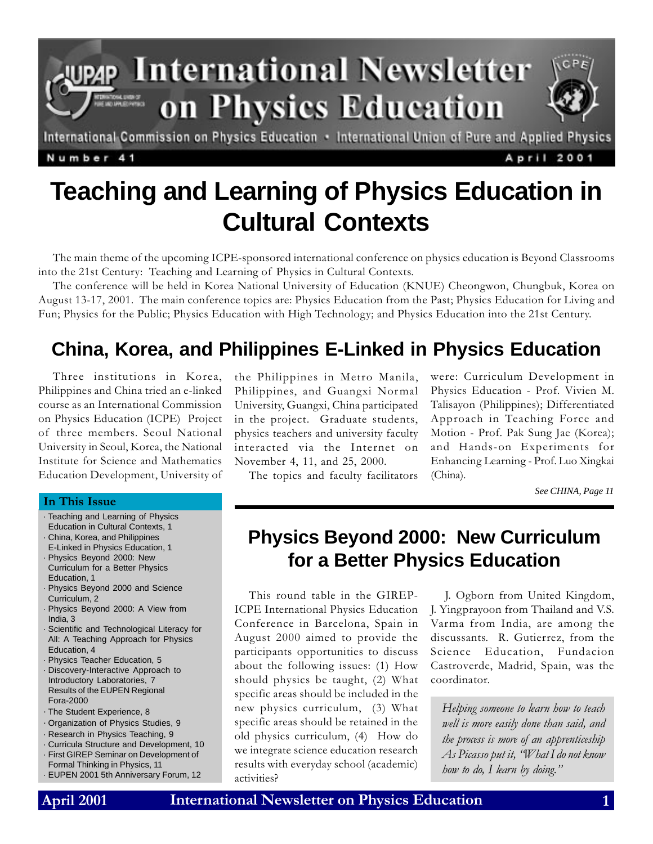

Number 41

April 2001

# **Teaching and Learning of Physics Education in Cultural Contexts**

The main theme of the upcoming ICPE-sponsored international conference on physics education is Beyond Classrooms into the 21st Century: Teaching and Learning of Physics in Cultural Contexts.

The conference will be held in Korea National University of Education (KNUE) Cheongwon, Chungbuk, Korea on August 13-17, 2001. The main conference topics are: Physics Education from the Past; Physics Education for Living and Fun; Physics for the Public; Physics Education with High Technology; and Physics Education into the 21st Century.

### **China, Korea, and Philippines E-Linked in Physics Education**

Three institutions in Korea, Philippines and China tried an e-linked course as an International Commission on Physics Education (ICPE) Project of three members. Seoul National University in Seoul, Korea, the National Institute for Science and Mathematics Education Development, University of the Philippines in Metro Manila, Philippines, and Guangxi Normal University, Guangxi, China participated in the project. Graduate students, physics teachers and university faculty interacted via the Internet on November 4, 11, and 25, 2000.

The topics and faculty facilitators

were: Curriculum Development in Physics Education - Prof. Vivien M. Talisayon (Philippines); Differentiated Approach in Teaching Force and Motion - Prof. Pak Sung Jae (Korea); and Hands-on Experiments for Enhancing Learning - Prof. Luo Xingkai (China).

*See CHINA, Page 11*

### **Physics Beyond 2000: New Curriculum for a Better Physics Education**

This round table in the GIREP-ICPE International Physics Education Conference in Barcelona, Spain in August 2000 aimed to provide the participants opportunities to discuss about the following issues: (1) How should physics be taught, (2) What specific areas should be included in the new physics curriculum, (3) What specific areas should be retained in the old physics curriculum, (4) How do we integrate science education research results with everyday school (academic) activities?

J. Ogborn from United Kingdom, J. Yingprayoon from Thailand and V.S. Varma from India, are among the discussants. R. Gutierrez, from the Science Education, Fundacion Castroverde, Madrid, Spain, was the coordinator.

Helping someone to learn how to teach well is more easily done than said, and the process is more of an apprenticeship As Picasso put it, "What I do not know how to do, I learn by doing."

#### In This Issue

- · Teaching and Learning of Physics Education in Cultural Contexts, 1
- · China, Korea, and Philippines
- E-Linked in Physics Education, 1
- · Physics Beyond 2000: New Curriculum for a Better Physics Education, 1
- · Physics Beyond 2000 and Science Curriculum, 2
- · Physics Beyond 2000: A View from India, 3
- · Scientific and Technological Literacy for All: A Teaching Approach for Physics Education, 4
- · Physics Teacher Education, 5
- · Discovery-Interactive Approach to Introductory Laboratories, 7 Results of the EUPEN Regional Fora-2000
- · The Student Experience, 8
- · Organization of Physics Studies, 9
- · Research in Physics Teaching, 9
- · Curricula Structure and Development, 10 · First GIREP Seminar on Development of Formal Thinking in Physics, 11 · EUPEN 2001 5th Anniversary Forum, 12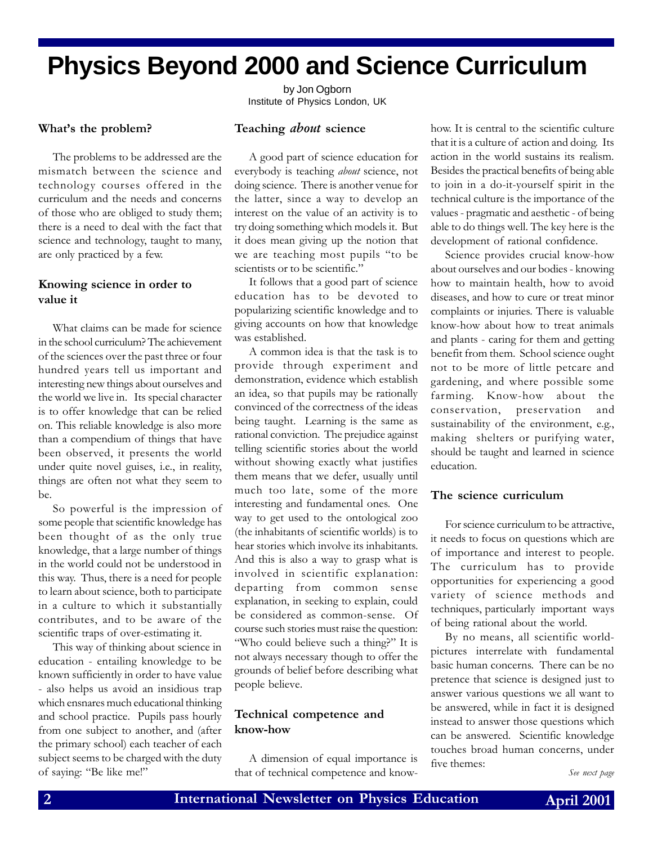# **Physics Beyond 2000 and Science Curriculum**

by Jon Ogborn Institute of Physics London, UK

#### What's the problem?

The problems to be addressed are the mismatch between the science and technology courses offered in the curriculum and the needs and concerns of those who are obliged to study them; there is a need to deal with the fact that science and technology, taught to many, are only practiced by a few.

#### Knowing science in order to value it

What claims can be made for science in the school curriculum? The achievement of the sciences over the past three or four hundred years tell us important and interesting new things about ourselves and the world we live in. Its special character is to offer knowledge that can be relied on. This reliable knowledge is also more than a compendium of things that have been observed, it presents the world under quite novel guises, i.e., in reality, things are often not what they seem to be.

So powerful is the impression of some people that scientific knowledge has been thought of as the only true knowledge, that a large number of things in the world could not be understood in this way. Thus, there is a need for people to learn about science, both to participate in a culture to which it substantially contributes, and to be aware of the scientific traps of over-estimating it.

This way of thinking about science in education - entailing knowledge to be known sufficiently in order to have value - also helps us avoid an insidious trap which ensnares much educational thinking and school practice. Pupils pass hourly from one subject to another, and (after the primary school) each teacher of each subject seems to be charged with the duty of saying: "Be like me!" that of technical competence and know-<br>See next page

#### Teaching *about* science

A good part of science education for everybody is teaching about science, not doing science. There is another venue for the latter, since a way to develop an interest on the value of an activity is to try doing something which models it. But it does mean giving up the notion that we are teaching most pupils "to be scientists or to be scientific."

It follows that a good part of science education has to be devoted to popularizing scientific knowledge and to giving accounts on how that knowledge was established.

A common idea is that the task is to provide through experiment and demonstration, evidence which establish an idea, so that pupils may be rationally convinced of the correctness of the ideas being taught. Learning is the same as rational conviction. The prejudice against telling scientific stories about the world without showing exactly what justifies them means that we defer, usually until much too late, some of the more interesting and fundamental ones. One way to get used to the ontological zoo (the inhabitants of scientific worlds) is to hear stories which involve its inhabitants. And this is also a way to grasp what is involved in scientific explanation: departing from common sense explanation, in seeking to explain, could be considered as common-sense. Of course such stories must raise the question: "Who could believe such a thing?" It is not always necessary though to offer the grounds of belief before describing what people believe.

#### Technical competence and know-how

A dimension of equal importance is

how. It is central to the scientific culture that it is a culture of action and doing. Its action in the world sustains its realism. Besides the practical benefits of being able to join in a do-it-yourself spirit in the technical culture is the importance of the values - pragmatic and aesthetic - of being able to do things well. The key here is the development of rational confidence.

Science provides crucial know-how about ourselves and our bodies - knowing how to maintain health, how to avoid diseases, and how to cure or treat minor complaints or injuries. There is valuable know-how about how to treat animals and plants - caring for them and getting benefit from them. School science ought not to be more of little petcare and gardening, and where possible some farming. Know-how about the conservation, preservation and sustainability of the environment, e.g., making shelters or purifying water, should be taught and learned in science education.

#### The science curriculum

For science curriculum to be attractive, it needs to focus on questions which are of importance and interest to people. The curriculum has to provide opportunities for experiencing a good variety of science methods and techniques, particularly important ways of being rational about the world.

By no means, all scientific worldpictures interrelate with fundamental basic human concerns. There can be no pretence that science is designed just to answer various questions we all want to be answered, while in fact it is designed instead to answer those questions which can be answered. Scientific knowledge touches broad human concerns, under five themes: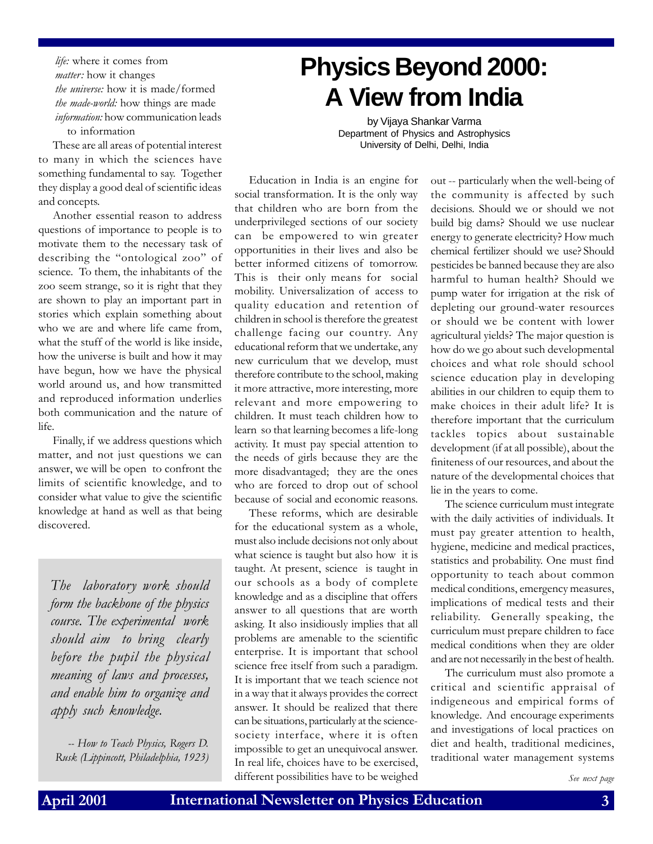life: where it comes from matter: how it changes the universe: how it is made/formed the *made-world*: how things are made information: how communication leads to information

These are all areas of potential interest to many in which the sciences have something fundamental to say. Together they display a good deal of scientific ideas and concepts.

Another essential reason to address questions of importance to people is to motivate them to the necessary task of describing the "ontological zoo" of science. To them, the inhabitants of the zoo seem strange, so it is right that they are shown to play an important part in stories which explain something about who we are and where life came from, what the stuff of the world is like inside, how the universe is built and how it may have begun, how we have the physical world around us, and how transmitted and reproduced information underlies both communication and the nature of life.

Finally, if we address questions which matter, and not just questions we can answer, we will be open to confront the limits of scientific knowledge, and to consider what value to give the scientific knowledge at hand as well as that being discovered.

The laboratory work should form the backbone of the physics course. The experimental work should aim to bring clearly before the pupil the physical meaning of laws and processes, and enable him to organize and apply such knowledge.

-- How to Teach Physics, Rogers D. Rusk (Lippincott, Philadelphia, 1923)

# **Physics Beyond 2000: A View from India**

by Vijaya Shankar Varma Department of Physics and Astrophysics University of Delhi, Delhi, India

Education in India is an engine for social transformation. It is the only way that children who are born from the underprivileged sections of our society can be empowered to win greater opportunities in their lives and also be better informed citizens of tomorrow. This is their only means for social mobility. Universalization of access to quality education and retention of children in school is therefore the greatest challenge facing our country. Any educational reform that we undertake, any new curriculum that we develop, must therefore contribute to the school, making it more attractive, more interesting, more relevant and more empowering to children. It must teach children how to learn so that learning becomes a life-long activity. It must pay special attention to the needs of girls because they are the more disadvantaged; they are the ones who are forced to drop out of school because of social and economic reasons.

These reforms, which are desirable for the educational system as a whole, must also include decisions not only about what science is taught but also how it is taught. At present, science is taught in our schools as a body of complete knowledge and as a discipline that offers answer to all questions that are worth asking. It also insidiously implies that all problems are amenable to the scientific enterprise. It is important that school science free itself from such a paradigm. It is important that we teach science not in a way that it always provides the correct answer. It should be realized that there can be situations, particularly at the sciencesociety interface, where it is often impossible to get an unequivocal answer. In real life, choices have to be exercised, different possibilities have to be weighed

out -- particularly when the well-being of the community is affected by such decisions. Should we or should we not build big dams? Should we use nuclear energy to generate electricity? How much chemical fertilizer should we use? Should pesticides be banned because they are also harmful to human health? Should we pump water for irrigation at the risk of depleting our ground-water resources or should we be content with lower agricultural yields? The major question is how do we go about such developmental choices and what role should school science education play in developing abilities in our children to equip them to make choices in their adult life? It is therefore important that the curriculum tackles topics about sustainable development (if at all possible), about the finiteness of our resources, and about the nature of the developmental choices that lie in the years to come.

The science curriculum must integrate with the daily activities of individuals. It must pay greater attention to health, hygiene, medicine and medical practices, statistics and probability. One must find opportunity to teach about common medical conditions, emergency measures, implications of medical tests and their reliability. Generally speaking, the curriculum must prepare children to face medical conditions when they are older and are not necessarily in the best of health.

The curriculum must also promote a critical and scientific appraisal of indigeneous and empirical forms of knowledge. And encourage experiments and investigations of local practices on diet and health, traditional medicines, traditional water management systems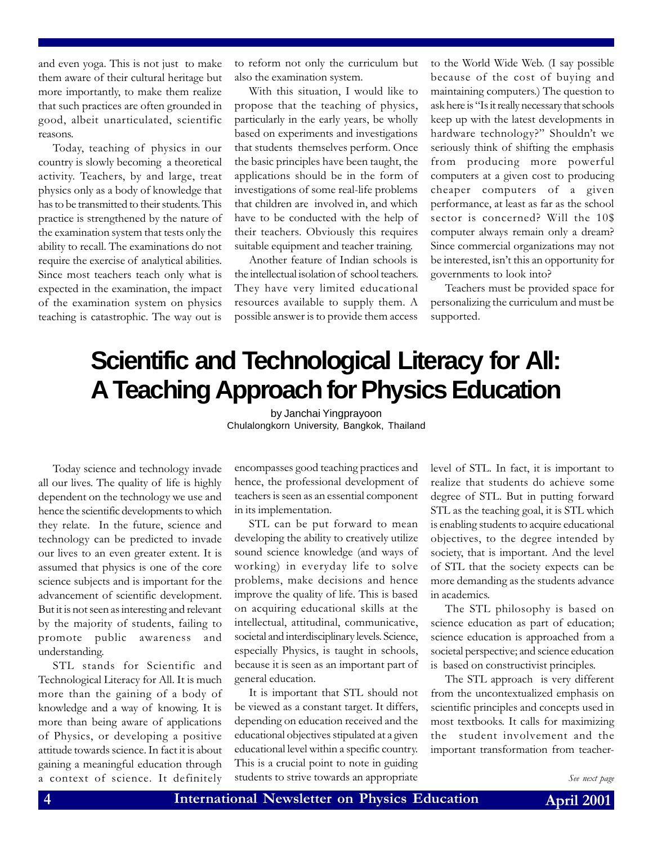and even yoga. This is not just to make them aware of their cultural heritage but more importantly, to make them realize that such practices are often grounded in good, albeit unarticulated, scientific reasons.

Today, teaching of physics in our country is slowly becoming a theoretical activity. Teachers, by and large, treat physics only as a body of knowledge that has to be transmitted to their students. This practice is strengthened by the nature of the examination system that tests only the ability to recall. The examinations do not require the exercise of analytical abilities. Since most teachers teach only what is expected in the examination, the impact of the examination system on physics teaching is catastrophic. The way out is

to reform not only the curriculum but also the examination system.

With this situation, I would like to propose that the teaching of physics, particularly in the early years, be wholly based on experiments and investigations that students themselves perform. Once the basic principles have been taught, the applications should be in the form of investigations of some real-life problems that children are involved in, and which have to be conducted with the help of their teachers. Obviously this requires suitable equipment and teacher training.

Another feature of Indian schools is the intellectual isolation of school teachers. They have very limited educational resources available to supply them. A possible answer is to provide them access to the World Wide Web. (I say possible because of the cost of buying and maintaining computers.) The question to ask here is "Is it really necessary that schools keep up with the latest developments in hardware technology?" Shouldn't we seriously think of shifting the emphasis from producing more powerful computers at a given cost to producing cheaper computers of a given performance, at least as far as the school sector is concerned? Will the 10\$ computer always remain only a dream? Since commercial organizations may not be interested, isn't this an opportunity for governments to look into?

Teachers must be provided space for personalizing the curriculum and must be supported.

## **Scientific and Technological Literacy for All: A Teaching Approach for Physics Education**

by Janchai Yingprayoon Chulalongkorn University, Bangkok, Thailand

Today science and technology invade all our lives. The quality of life is highly dependent on the technology we use and hence the scientific developments to which they relate. In the future, science and technology can be predicted to invade our lives to an even greater extent. It is assumed that physics is one of the core science subjects and is important for the advancement of scientific development. But it is not seen as interesting and relevant by the majority of students, failing to promote public awareness and understanding.

STL stands for Scientific and Technological Literacy for All. It is much more than the gaining of a body of knowledge and a way of knowing. It is more than being aware of applications of Physics, or developing a positive attitude towards science. In fact it is about gaining a meaningful education through a context of science. It definitely

encompasses good teaching practices and hence, the professional development of teachers is seen as an essential component in its implementation.

STL can be put forward to mean developing the ability to creatively utilize sound science knowledge (and ways of working) in everyday life to solve problems, make decisions and hence improve the quality of life. This is based on acquiring educational skills at the intellectual, attitudinal, communicative, societal and interdisciplinary levels. Science, especially Physics, is taught in schools, because it is seen as an important part of general education.

It is important that STL should not be viewed as a constant target. It differs, depending on education received and the educational objectives stipulated at a given educational level within a specific country. This is a crucial point to note in guiding students to strive towards an appropriate

level of STL. In fact, it is important to realize that students do achieve some degree of STL. But in putting forward STL as the teaching goal, it is STL which is enabling students to acquire educational objectives, to the degree intended by society, that is important. And the level of STL that the society expects can be more demanding as the students advance in academics.

The STL philosophy is based on science education as part of education; science education is approached from a societal perspective; and science education is based on constructivist principles.

The STL approach is very different from the uncontextualized emphasis on scientific principles and concepts used in most textbooks. It calls for maximizing the student involvement and the important transformation from teacher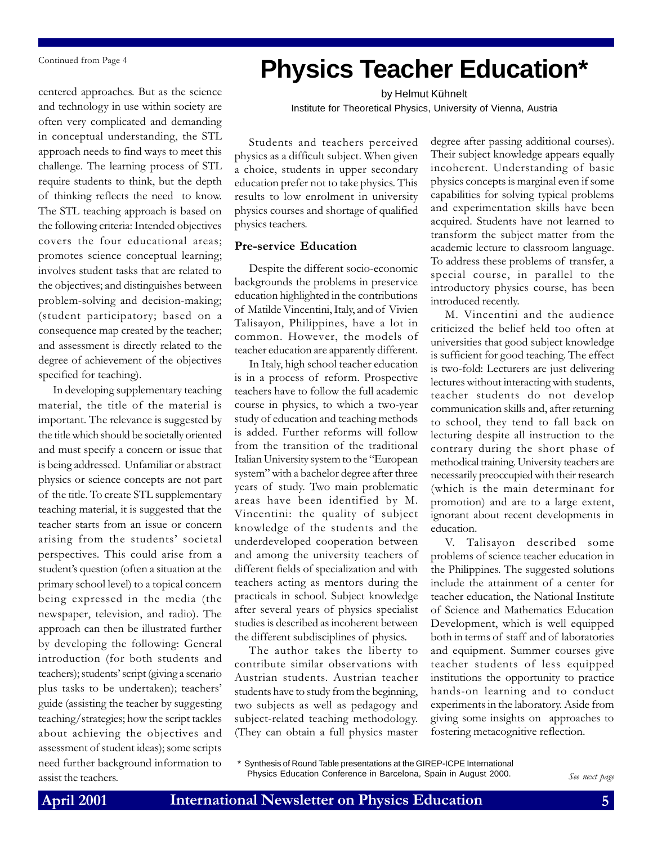Continued from Page 4

centered approaches. But as the science and technology in use within society are often very complicated and demanding in conceptual understanding, the STL approach needs to find ways to meet this challenge. The learning process of STL require students to think, but the depth of thinking reflects the need to know. The STL teaching approach is based on the following criteria: Intended objectives covers the four educational areas; promotes science conceptual learning; involves student tasks that are related to the objectives; and distinguishes between problem-solving and decision-making; (student participatory; based on a consequence map created by the teacher; and assessment is directly related to the degree of achievement of the objectives specified for teaching).

In developing supplementary teaching material, the title of the material is important. The relevance is suggested by the title which should be societally oriented and must specify a concern or issue that is being addressed. Unfamiliar or abstract physics or science concepts are not part of the title. To create STL supplementary teaching material, it is suggested that the teacher starts from an issue or concern arising from the students' societal perspectives. This could arise from a student's question (often a situation at the primary school level) to a topical concern being expressed in the media (the newspaper, television, and radio). The approach can then be illustrated further by developing the following: General introduction (for both students and teachers); students' script (giving a scenario plus tasks to be undertaken); teachers guide (assisting the teacher by suggesting teaching/strategies; how the script tackles about achieving the objectives and assessment of student ideas); some scripts need further background information to assist the teachers.

## **Physics Teacher Education\***

by Helmut Kühnelt Institute for Theoretical Physics, University of Vienna, Austria

Students and teachers perceived physics as a difficult subject. When given a choice, students in upper secondary education prefer not to take physics. This results to low enrolment in university physics courses and shortage of qualified physics teachers.

#### Pre-service Education

Despite the different socio-economic backgrounds the problems in preservice education highlighted in the contributions of Matilde Vincentini, Italy, and of Vivien Talisayon, Philippines, have a lot in common. However, the models of teacher education are apparently different.

In Italy, high school teacher education is in a process of reform. Prospective teachers have to follow the full academic course in physics, to which a two-year study of education and teaching methods is added. Further reforms will follow from the transition of the traditional Italian University system to the "European system" with a bachelor degree after three years of study. Two main problematic areas have been identified by M. Vincentini: the quality of subject knowledge of the students and the underdeveloped cooperation between and among the university teachers of different fields of specialization and with teachers acting as mentors during the practicals in school. Subject knowledge after several years of physics specialist studies is described as incoherent between the different subdisciplines of physics.

The author takes the liberty to contribute similar observations with Austrian students. Austrian teacher students have to study from the beginning, two subjects as well as pedagogy and subject-related teaching methodology. (They can obtain a full physics master degree after passing additional courses). Their subject knowledge appears equally incoherent. Understanding of basic physics concepts is marginal even if some capabilities for solving typical problems and experimentation skills have been acquired. Students have not learned to transform the subject matter from the academic lecture to classroom language. To address these problems of transfer, a special course, in parallel to the introductory physics course, has been introduced recently.

M. Vincentini and the audience criticized the belief held too often at universities that good subject knowledge is sufficient for good teaching. The effect is two-fold: Lecturers are just delivering lectures without interacting with students, teacher students do not develop communication skills and, after returning to school, they tend to fall back on lecturing despite all instruction to the contrary during the short phase of methodical training. University teachers are necessarily preoccupied with their research (which is the main determinant for promotion) and are to a large extent, ignorant about recent developments in education.

V. Talisayon described some problems of science teacher education in the Philippines. The suggested solutions include the attainment of a center for teacher education, the National Institute of Science and Mathematics Education Development, which is well equipped both in terms of staff and of laboratories and equipment. Summer courses give teacher students of less equipped institutions the opportunity to practice hands-on learning and to conduct experiments in the laboratory. Aside from giving some insights on approaches to fostering metacognitive reflection.

\* Synthesis of Round Table presentations at the GIREP-ICPE International Physics Education Conference in Barcelona, Spain in August 2000.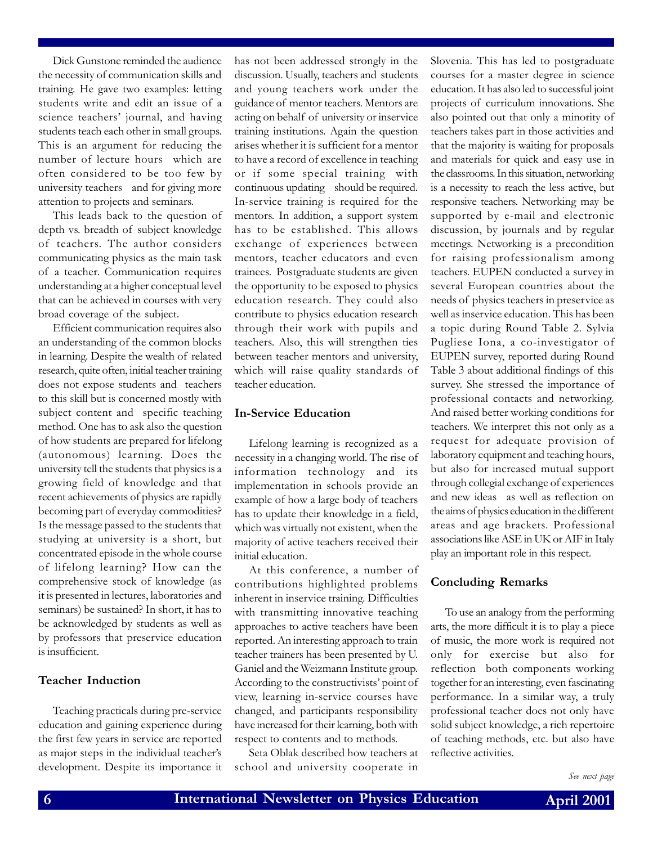Dick Gunstone reminded the audience the necessity of communication skills and training. He gave two examples: letting students write and edit an issue of a science teachers' journal, and having students teach each other in small groups. This is an argument for reducing the number of lecture hours-which are often considered to be too few by university teachers—and for giving more attention to projects and seminars.

This leads back to the question of depth vs. breadth of subject knowledge of teachers. The author considers communicating physics as the main task of a teacher. Communication requires understanding at a higher conceptual level that can be achieved in courses with very broad coverage of the subject.

Efficient communication requires also an understanding of the common blocks in learning. Despite the wealth of related research, quite often, initial teacher training does not expose students and teachers to this skill but is concerned mostly with subject content and specific teaching method. One has to ask also the question of how students are prepared for lifelong (autonomous) learning. Does the university tell the students that physics is a growing field of knowledge and that recent achievements of physics are rapidly becoming part of everyday commodities? Is the message passed to the students that studying at university is a short, but concentrated episode in the whole course of lifelong learning? How can the comprehensive stock of knowledge (as it is presented in lectures, laboratories and seminars) be sustained? In short, it has to be acknowledged by students as well as by professors that preservice education is insufficient.

#### Teacher Induction

Teaching practicals during pre-service education and gaining experience during the first few years in service are reported as major steps in the individual teacher's development. Despite its importance it has not been addressed strongly in the discussion. Usually, teachers and students and young teachers work under the guidance of mentor teachers. Mentors are acting on behalf of university or inservice training institutions. Again the question arises whether it is sufficient for a mentor to have a record of excellence in teaching or if some special training-with continuous updating-should be required. In-service training is required for the mentors. In addition, a support system has to be established. This allows exchange of experiences between mentors, teacher educators and even trainees. Postgraduate students are given the opportunity to be exposed to physics education research. They could also contribute to physics education research through their work with pupils and teachers. Also, this will strengthen ties between teacher mentors and university, which will raise quality standards of teacher education.

#### In-Service Education

Lifelong learning is recognized as a necessity in a changing world. The rise of information technology and its implementation in schools provide an example of how a large body of teachers has to update their knowledge in a field, which was virtually not existent, when the majority of active teachers received their initial education.

At this conference, a number of contributions highlighted problems inherent in inservice training. Difficulties with transmitting innovative teaching approaches to active teachers have been reported. An interesting approach to train teacher trainers has been presented by U. Ganiel and the Weizmann Institute group. According to the constructivists' point of view, learning in-service courses have changed, and participants responsibility have increased for their learning, both with respect to contents and to methods.

Seta Oblak described how teachers at school and university cooperate in Slovenia. This has led to postgraduate courses for a master degree in science education. It has also led to successful joint projects of curriculum innovations. She also pointed out that only a minority of teachers takes part in those activities and that the majority is waiting for proposals and materials for quick and easy use in the classrooms. In this situation, networking is a necessity to reach the less active, but responsive teachers. Networking may be supported by e-mail and electronic discussion, by journals and by regular meetings. Networking is a precondition for raising professionalism among teachers. EUPEN conducted a survey in several European countries about the needs of physics teachers in preservice as well as inservice education. This has been a topic during Round Table 2. Sylvia Pugliese Iona, a co-investigator of EUPEN survey, reported during Round Table 3 about additional findings of this survey. She stressed the importance of professional contacts and networking. And raised better working conditions for teachers. We interpret this not only as a request for adequate provision of laboratory equipment and teaching hours, but also for increased mutual support through collegial exchange of experiences and new ideas-as well as reflection on the aims of physics education in the different areas and age brackets. Professional associations like ASE in UK or AIF in Italy play an important role in this respect.

#### Concluding Remarks

To use an analogy from the performing arts, the more difficult it is to play a piece of music, the more work is required not only for exercise but also for reflection-both components working together for an interesting, even fascinating performance. In a similar way, a truly professional teacher does not only have solid subject knowledge, a rich repertoire of teaching methods, etc. but also have reflective activities.

See next page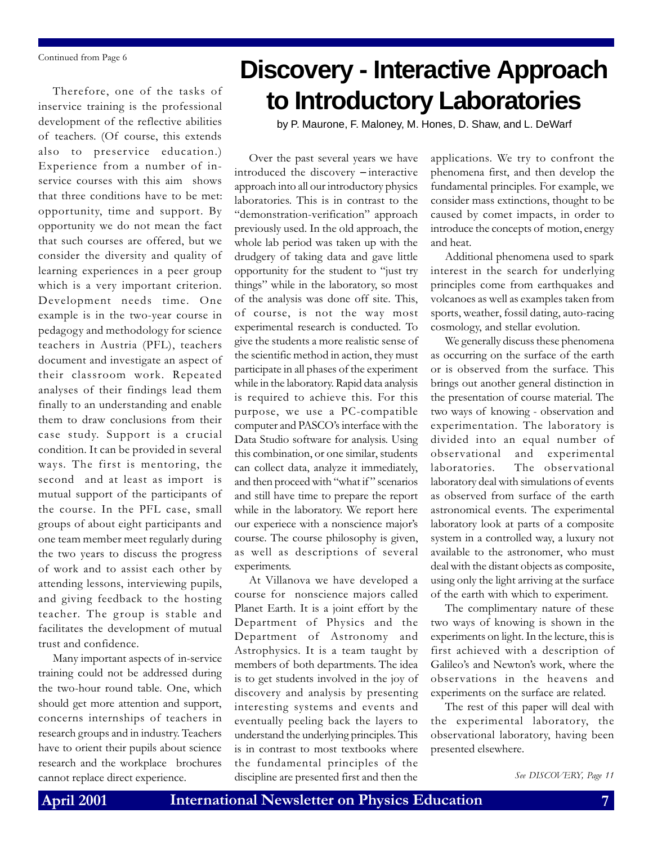Continued from Page 6

Therefore, one of the tasks of inservice training is the professional development of the reflective abilities of teachers. (Of course, this extends also to preservice education.) Experience from a number of inservice courses with this aim-shows that three conditions have to be met: opportunity, time and support. By opportunity we do not mean the fact that such courses are offered, but we consider the diversity and quality of learning experiences in a peer group which is a very important criterion. Development needs time. One example is in the two-year course in pedagogy and methodology for science teachers in Austria (PFL), teachers document and investigate an aspect of their classroom work. Repeated analyses of their findings lead them finally to an understanding and enable them to draw conclusions from their case study. Support is a crucial condition. It can be provided in several ways. The first is mentoring, the second—and at least as import—is mutual support of the participants of the course. In the PFL case, small groups of about eight participants and one team member meet regularly during the two years to discuss the progress of work and to assist each other by attending lessons, interviewing pupils, and giving feedback to the hosting teacher. The group is stable and facilitates the development of mutual trust and confidence.

Many important aspects of in-service training could not be addressed during the two-hour round table. One, which should get more attention and support, concerns internships of teachers in research groups and in industry. Teachers have to orient their pupils about science research and the workplace-brochures cannot replace direct experience.

# **Discovery - Interactive Approach to Introductory Laboratories**

by P. Maurone, F. Maloney, M. Hones, D. Shaw, and L. DeWarf

Over the past several years we have introduced the discovery − interactive approach into all our introductory physics laboratories. This is in contrast to the "demonstration-verification" approach previously used. In the old approach, the whole lab period was taken up with the drudgery of taking data and gave little opportunity for the student to "just try things" while in the laboratory, so most of the analysis was done off site. This, of course, is not the way most experimental research is conducted. To give the students a more realistic sense of the scientific method in action, they must participate in all phases of the experiment while in the laboratory. Rapid data analysis is required to achieve this. For this purpose, we use a PC-compatible computer and PASCOs interface with the Data Studio software for analysis. Using this combination, or one similar, students can collect data, analyze it immediately, and then proceed with "what if" scenarios and still have time to prepare the report while in the laboratory. We report here our experiece with a nonscience major's course. The course philosophy is given, as well as descriptions of several experiments.

At Villanova we have developed a course for nonscience majors called Planet Earth. It is a joint effort by the Department of Physics and the Department of Astronomy and Astrophysics. It is a team taught by members of both departments. The idea is to get students involved in the joy of discovery and analysis by presenting interesting systems and events and eventually peeling back the layers to understand the underlying principles. This is in contrast to most textbooks where the fundamental principles of the discipline are presented first and then the See DISCOVERY, Page 11

applications. We try to confront the phenomena first, and then develop the fundamental principles. For example, we consider mass extinctions, thought to be caused by comet impacts, in order to introduce the concepts of motion, energy and heat.

Additional phenomena used to spark interest in the search for underlying principles come from earthquakes and volcanoes as well as examples taken from sports, weather, fossil dating, auto-racing cosmology, and stellar evolution.

We generally discuss these phenomena as occurring on the surface of the earth or is observed from the surface. This brings out another general distinction in the presentation of course material. The two ways of knowing - observation and experimentation. The laboratory is divided into an equal number of observational and experimental laboratories. The observational laboratory deal with simulations of events as observed from surface of the earth astronomical events. The experimental laboratory look at parts of a composite system in a controlled way, a luxury not available to the astronomer, who must deal with the distant objects as composite, using only the light arriving at the surface of the earth with which to experiment.

The complimentary nature of these two ways of knowing is shown in the experiments on light. In the lecture, this is first achieved with a description of Galileo's and Newton's work, where the observations in the heavens and experiments on the surface are related.

The rest of this paper will deal with the experimental laboratory, the observational laboratory, having been presented elsewhere.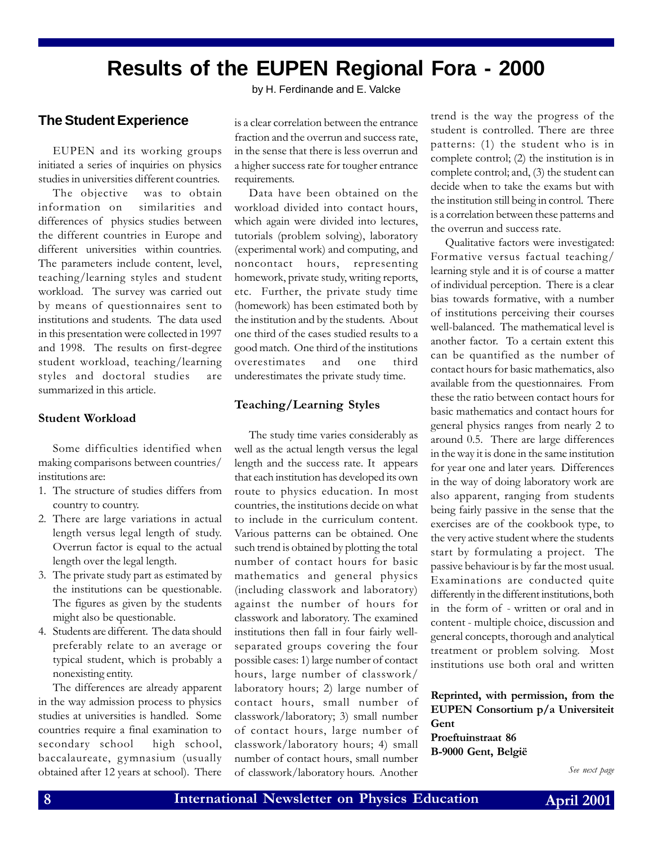### **Results of the EUPEN Regional Fora - 2000**

#### **The Student Experience**

EUPEN and its working groups initiated a series of inquiries on physics studies in universities different countries.

The objective was to obtain information on similarities and differences of physics studies between the different countries in Europe and different universities within countries. The parameters include content, level, teaching/learning styles and student workload. The survey was carried out by means of questionnaires sent to institutions and students. The data used in this presentation were collected in 1997 and 1998. The results on first-degree student workload, teaching/learning styles and doctoral studies are summarized in this article.

#### Student Workload

Some difficulties identified when making comparisons between countries/ institutions are:

- 1. The structure of studies differs from country to country.
- 2. There are large variations in actual length versus legal length of study. Overrun factor is equal to the actual length over the legal length.
- 3. The private study part as estimated by the institutions can be questionable. The figures as given by the students might also be questionable.
- 4. Students are different. The data should preferably relate to an average or typical student, which is probably a nonexisting entity.

The differences are already apparent in the way admission process to physics studies at universities is handled. Some countries require a final examination to secondary school high school, baccalaureate, gymnasium (usually obtained after 12 years at school). There

by H. Ferdinande and E. Valcke

is a clear correlation between the entrance fraction and the overrun and success rate, in the sense that there is less overrun and a higher success rate for tougher entrance requirements.

Data have been obtained on the workload divided into contact hours, which again were divided into lectures, tutorials (problem solving), laboratory (experimental work) and computing, and noncontact hours, representing homework, private study, writing reports, etc. Further, the private study time (homework) has been estimated both by the institution and by the students. About one third of the cases studied results to a good match. One third of the institutions overestimates and one third underestimates the private study time.

#### Teaching/Learning Styles

The study time varies considerably as well as the actual length versus the legal length and the success rate. It appears that each institution has developed its own route to physics education. In most countries, the institutions decide on what to include in the curriculum content. Various patterns can be obtained. One such trend is obtained by plotting the total number of contact hours for basic mathematics and general physics (including classwork and laboratory) against the number of hours for classwork and laboratory. The examined institutions then fall in four fairly wellseparated groups covering the four possible cases: 1) large number of contact hours, large number of classwork/ laboratory hours; 2) large number of contact hours, small number of classwork/laboratory; 3) small number of contact hours, large number of classwork/laboratory hours; 4) small number of contact hours, small number of classwork/laboratory hours. Another

trend is the way the progress of the student is controlled. There are three patterns: (1) the student who is in complete control; (2) the institution is in complete control; and, (3) the student can decide when to take the exams but with the institution still being in control. There is a correlation between these patterns and the overrun and success rate.

Qualitative factors were investigated: Formative versus factual teaching/ learning style and it is of course a matter of individual perception. There is a clear bias towards formative, with a number of institutions perceiving their courses well-balanced. The mathematical level is another factor. To a certain extent this can be quantified as the number of contact hours for basic mathematics, also available from the questionnaires. From these the ratio between contact hours for basic mathematics and contact hours for general physics ranges from nearly 2 to around 0.5. There are large differences in the way it is done in the same institution for year one and later years. Differences in the way of doing laboratory work are also apparent, ranging from students being fairly passive in the sense that the exercises are of the cookbook type, to the very active student where the students start by formulating a project. The passive behaviour is by far the most usual. Examinations are conducted quite differently in the different institutions, both in the form of - written or oral and in content - multiple choice, discussion and general concepts, thorough and analytical treatment or problem solving. Most institutions use both oral and written

Reprinted, with permission, from the EUPEN Consortium p/a Universiteit Gent Proeftuinstraat 86

B-9000 Gent, België

See next page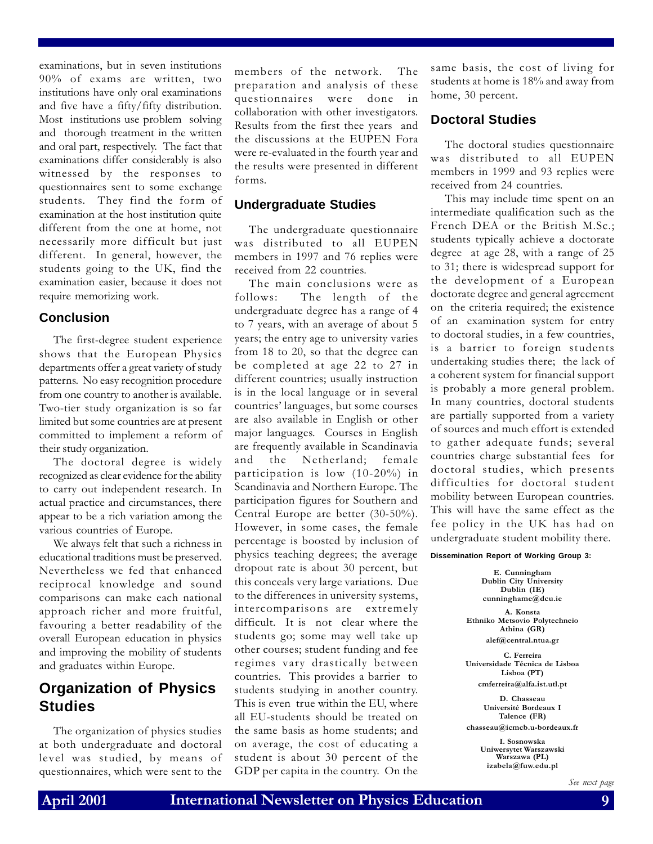examinations, but in seven institutions 90% of exams are written, two institutions have only oral examinations and five have a fifty/fifty distribution. Most institutions use problem solving and thorough treatment in the written and oral part, respectively. The fact that examinations differ considerably is also witnessed by the responses to questionnaires sent to some exchange students. They find the form of examination at the host institution quite different from the one at home, not necessarily more difficult but just different. In general, however, the students going to the UK, find the examination easier, because it does not require memorizing work.

#### **Conclusion**

The first-degree student experience shows that the European Physics departments offer a great variety of study patterns. No easy recognition procedure from one country to another is available. Two-tier study organization is so far limited but some countries are at present committed to implement a reform of their study organization.

The doctoral degree is widely recognized as clear evidence for the ability to carry out independent research. In actual practice and circumstances, there appear to be a rich variation among the various countries of Europe.

We always felt that such a richness in educational traditions must be preserved. Nevertheless we fed that enhanced reciprocal knowledge and sound comparisons can make each national approach richer and more fruitful, favouring a better readability of the overall European education in physics and improving the mobility of students and graduates within Europe.

### **Organization of Physics Studies**

The organization of physics studies at both undergraduate and doctoral level was studied, by means of questionnaires, which were sent to the

members of the network. The preparation and analysis of these questionnaires were done collaboration with other investigators. Results from the first thee years and the discussions at the EUPEN Fora were re-evaluated in the fourth year and the results were presented in different forms.

#### **Undergraduate Studies**

The undergraduate questionnaire was distributed to all EUPEN members in 1997 and 76 replies were received from 22 countries.

The main conclusions were as follows: The length of the undergraduate degree has a range of 4 to 7 years, with an average of about 5 years; the entry age to university varies from 18 to 20, so that the degree can be completed at age 22 to 27 in different countries; usually instruction is in the local language or in several countries' languages, but some courses are also available in English or other major languages. Courses in English are frequently available in Scandinavia and the Netherland; female participation is low (10-20%) in Scandinavia and Northern Europe. The participation figures for Southern and Central Europe are better (30-50%). However, in some cases, the female percentage is boosted by inclusion of physics teaching degrees; the average dropout rate is about 30 percent, but this conceals very large variations. Due to the differences in university systems, intercomparisons are extremely difficult. It is not clear where the students go; some may well take up other courses; student funding and fee regimes vary drastically between countries. This provides a barrier to students studying in another country. This is even true within the EU, where all EU-students should be treated on the same basis as home students; and on average, the cost of educating a student is about 30 percent of the GDP per capita in the country. On the same basis, the cost of living for students at home is 18% and away from home, 30 percent.

#### **Doctoral Studies**

The doctoral studies questionnaire was distributed to all EUPEN members in 1999 and 93 replies were received from 24 countries.

This may include time spent on an intermediate qualification such as the French DEA or the British M.Sc.; students typically achieve a doctorate degree at age 28, with a range of 25 to 31; there is widespread support for the development of a European doctorate degree and general agreement on the criteria required; the existence of an examination system for entry to doctoral studies, in a few countries, is a barrier to foreign students undertaking studies there; the lack of a coherent system for financial support is probably a more general problem. In many countries, doctoral students are partially supported from a variety of sources and much effort is extended to gather adequate funds; several countries charge substantial fees for doctoral studies, which presents difficulties for doctoral student mobility between European countries. This will have the same effect as the fee policy in the UK has had on undergraduate student mobility there.

#### **Dissemination Report of Working Group 3:**

E. Cunningham Dublin City University Dublin (IE) cunninghame@dcu.ie

A. Konsta Ethniko Metsovio Polytechneio Athina (GR)

alef@central.ntua.gr

C. Ferreira Universidade Técnica de Lisboa Lisboa (PT) cmferreira@alfa.ist.utl.pt

D. Chasseau Université Bordeaux I Talence (FR) chasseau@icmcb.u-bordeaux.fr

> I. Sosnowska Uniwersytet Warszawski Warszawa (PL) izabela@fuw.edu.pl

> > See next page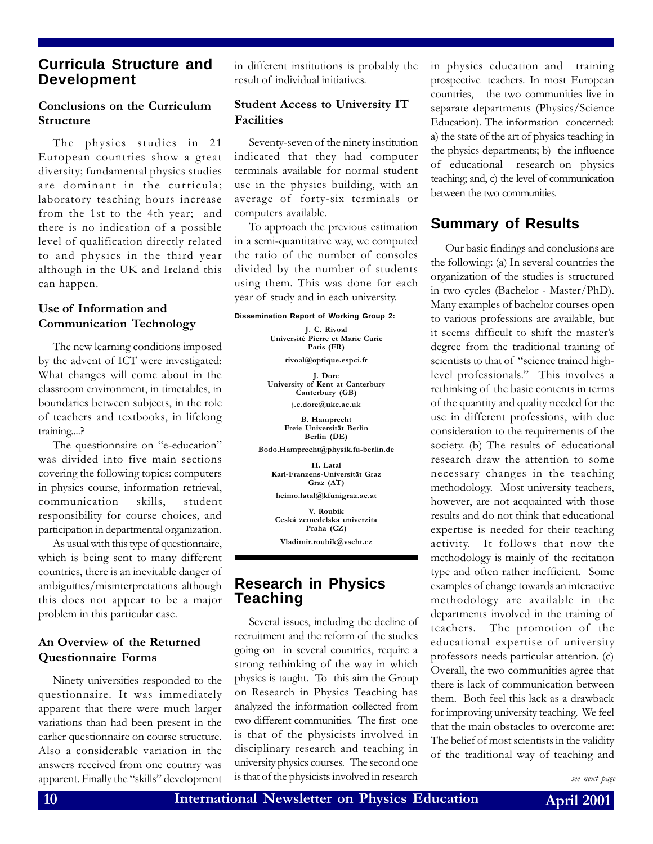#### **Curricula Structure and Development**

#### Conclusions on the Curriculum Structure

The physics studies in 21 European countries show a great diversity; fundamental physics studies are dominant in the curricula; laboratory teaching hours increase from the 1st to the 4th year; and there is no indication of a possible level of qualification directly related to and physics in the third year although in the UK and Ireland this can happen.

#### Use of Information and Communication Technology

The new learning conditions imposed by the advent of ICT were investigated: What changes will come about in the classroom environment, in timetables, in boundaries between subjects, in the role of teachers and textbooks, in lifelong training....?

The questionnaire on "e-education" was divided into five main sections covering the following topics: computers in physics course, information retrieval, communication skills, student responsibility for course choices, and participation in departmental organization.

As usual with this type of questionnaire, which is being sent to many different countries, there is an inevitable danger of ambiguities/misinterpretations although this does not appear to be a major problem in this particular case.

#### An Overview of the Returned Questionnaire Forms

Ninety universities responded to the questionnaire. It was immediately apparent that there were much larger variations than had been present in the earlier questionnaire on course structure. Also a considerable variation in the answers received from one coutnry was apparent. Finally the "skills" development

in different institutions is probably the result of individual initiatives.

#### Student Access to University IT Facilities

Seventy-seven of the ninety institution indicated that they had computer terminals available for normal student use in the physics building, with an average of forty-six terminals or computers available.

To approach the previous estimation in a semi-quantitative way, we computed the ratio of the number of consoles divided by the number of students using them. This was done for each year of study and in each university.

#### **Dissemination Report of Working Group 2:**

J. C. Rivoal Université Pierre et Marie Curie Paris (FR)

rivoal@optique.espci.fr

J. Dore University of Kent at Canterbury Canterbury (GB) j.c.dore@ukc.ac.uk

> B. Hamprecht Freie Universität Berlin Berlin (DE)

Bodo.Hamprecht@physik.fu-berlin.de

H. Latal Karl-Franzens-Universität Graz Graz (AT)

heimo.latal@kfunigraz.ac.at V. Roubik

Ceská zemedelska univerzita Praha (CZ)

Vladimir.roubik@vscht.cz

#### **Research in Physics Teaching**

Several issues, including the decline of recruitment and the reform of the studies going on in several countries, require a strong rethinking of the way in which physics is taught. To this aim the Group on Research in Physics Teaching has analyzed the information collected from two different communities. The first one is that of the physicists involved in disciplinary research and teaching in university physics courses. The second one is that of the physicists involved in research

in physics education and training prospective teachers. In most European countries, the two communities live in separate departments (Physics/Science Education). The information concerned: a) the state of the art of physics teaching in the physics departments; b) the influence of educational research on physics teaching; and, c) the level of communication between the two communities.

#### **Summary of Results**

Our basic findings and conclusions are the following: (a) In several countries the organization of the studies is structured in two cycles (Bachelor - Master/PhD). Many examples of bachelor courses open to various professions are available, but it seems difficult to shift the master's degree from the traditional training of scientists to that of "science trained highlevel professionals." This involves a rethinking of the basic contents in terms of the quantity and quality needed for the use in different professions, with due consideration to the requirements of the society. (b) The results of educational research draw the attention to some necessary changes in the teaching methodology. Most university teachers, however, are not acquainted with those results and do not think that educational expertise is needed for their teaching activity. It follows that now the methodology is mainly of the recitation type and often rather inefficient. Some examples of change towards an interactive methodology are available in the departments involved in the training of teachers. The promotion of the educational expertise of university professors needs particular attention. (c) Overall, the two communities agree that there is lack of communication between them. Both feel this lack as a drawback for improving university teaching. We feel that the main obstacles to overcome are: The belief of most scientists in the validity of the traditional way of teaching and

see next page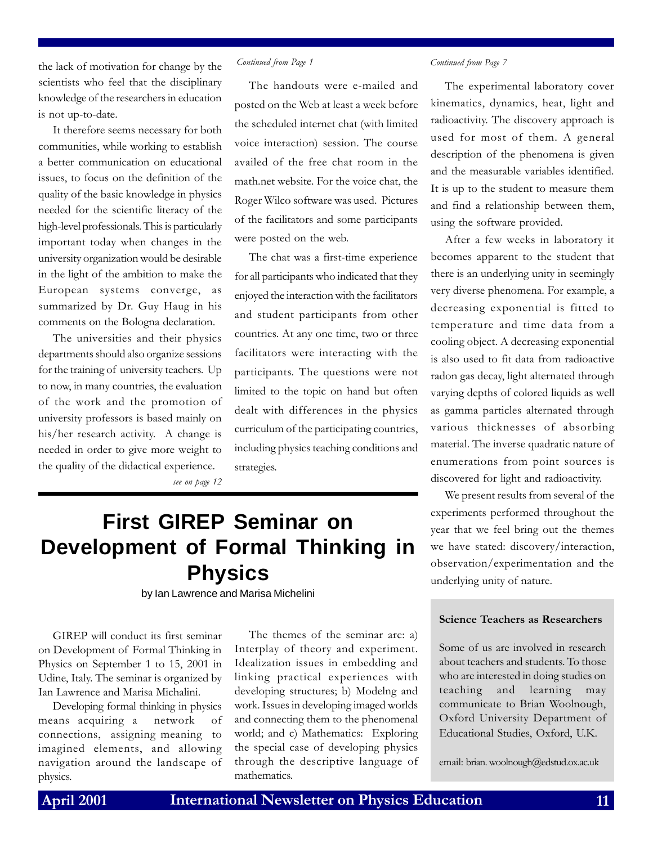the lack of motivation for change by the scientists who feel that the disciplinary knowledge of the researchers in education is not up-to-date.

It therefore seems necessary for both communities, while working to establish a better communication on educational issues, to focus on the definition of the quality of the basic knowledge in physics needed for the scientific literacy of the high-level professionals. This is particularly important today when changes in the university organization would be desirable in the light of the ambition to make the European systems converge, as summarized by Dr. Guy Haug in his comments on the Bologna declaration.

The universities and their physics departments should also organize sessions for the training of university teachers. Up to now, in many countries, the evaluation of the work and the promotion of university professors is based mainly on his/her research activity. A change is needed in order to give more weight to the quality of the didactical experience.

The handouts were e-mailed and posted on the Web at least a week before the scheduled internet chat (with limited voice interaction) session. The course availed of the free chat room in the math.net website. For the voice chat, the Roger Wilco software was used. Pictures of the facilitators and some participants were posted on the web.

The chat was a first-time experience for all participants who indicated that they enjoyed the interaction with the facilitators and student participants from other countries. At any one time, two or three facilitators were interacting with the participants. The questions were not limited to the topic on hand but often dealt with differences in the physics curriculum of the participating countries, including physics teaching conditions and strategies.

see on page 12

### **First GIREP Seminar on Development of Formal Thinking in Physics**

by Ian Lawrence and Marisa Michelini

GIREP will conduct its first seminar on Development of Formal Thinking in Physics on September 1 to 15, 2001 in Udine, Italy. The seminar is organized by Ian Lawrence and Marisa Michalini.

Developing formal thinking in physics means acquiring a network of connections, assigning meaning to imagined elements, and allowing navigation around the landscape of physics.

The themes of the seminar are: a) Interplay of theory and experiment. Idealization issues in embedding and linking practical experiences with developing structures; b) Modelng and work. Issues in developing imaged worlds and connecting them to the phenomenal world; and c) Mathematics: Exploring the special case of developing physics through the descriptive language of mathematics.

#### Continued from Page 1 Continued from Page 7

The experimental laboratory cover kinematics, dynamics, heat, light and radioactivity. The discovery approach is used for most of them. A general description of the phenomena is given and the measurable variables identified. It is up to the student to measure them and find a relationship between them, using the software provided.

After a few weeks in laboratory it becomes apparent to the student that there is an underlying unity in seemingly very diverse phenomena. For example, a decreasing exponential is fitted to temperature and time data from a cooling object. A decreasing exponential is also used to fit data from radioactive radon gas decay, light alternated through varying depths of colored liquids as well as gamma particles alternated through various thicknesses of absorbing material. The inverse quadratic nature of enumerations from point sources is discovered for light and radioactivity.

We present results from several of the experiments performed throughout the year that we feel bring out the themes we have stated: discovery/interaction, observation/experimentation and the underlying unity of nature.

#### Science Teachers as Researchers

Some of us are involved in research about teachers and students. To those who are interested in doing studies on teaching and learning may communicate to Brian Woolnough, Oxford University Department of Educational Studies, Oxford, U.K.

email: brian. woolnough@edstud.ox.ac.uk